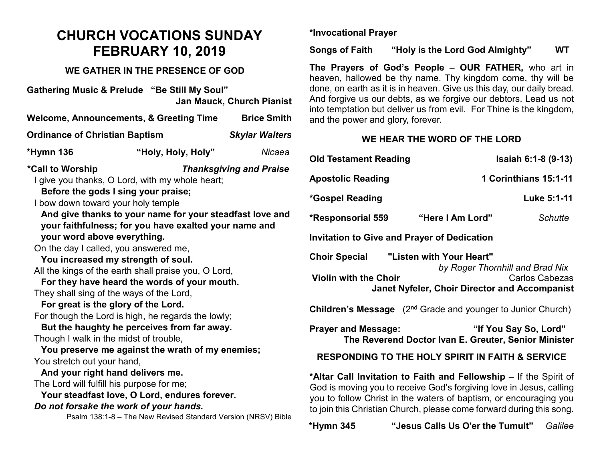# **CHURCH VOCATIONS SUNDAY FEBRUARY 10, 2019**

### **WE GATHER IN THE PRESENCE OF GOD**

**Gathering Music & Prelude "Be Still My Soul" Jan Mauck, Church Pianist Welcome, Announcements, & Greeting Time Brice Smith Ordinance of Christian Baptism** *Skylar Walters* **\*Hymn 136 "Holy, Holy, Holy"** *Nicaea* **\*Call to Worship** *Thanksgiving and Praise* I give you thanks, O Lord, with my whole heart; **Before the gods I sing your praise;** I bow down toward your holy temple **And give thanks to your name for your steadfast love and your faithfulness; for you have exalted your name and your word above everything.** On the day I called, you answered me, **You increased my strength of soul.** All the kings of the earth shall praise you, O Lord, **For they have heard the words of your mouth.** They shall sing of the ways of the Lord, **For great is the glory of the Lord.** For though the Lord is high, he regards the lowly; **But the haughty he perceives from far away.** Though I walk in the midst of trouble, **You preserve me against the wrath of my enemies;** You stretch out your hand, **And your right hand delivers me.** The Lord will fulfill his purpose for me; **Your steadfast love, O Lord, endures forever.** *Do not forsake the work of your hands.* Psalm 138:1-8 – The New Revised Standard Version (NRSV) Bible

**\*Invocational Prayer**

**Songs of Faith "Holy is the Lord God Almighty" WT**

**The Prayers of God's People – OUR FATHER,** who art in heaven, hallowed be thy name. Thy kingdom come, thy will be done, on earth as it is in heaven. Give us this day, our daily bread. And forgive us our debts, as we forgive our debtors. Lead us not into temptation but deliver us from evil. For Thine is the kingdom, and the power and glory, forever.

## **WE HEAR THE WORD OF THE LORD**

| <b>Old Testament Reading</b>                                                                                                                                                                                                                                                          | Isaiah 6:1-8 (9-13)   |
|---------------------------------------------------------------------------------------------------------------------------------------------------------------------------------------------------------------------------------------------------------------------------------------|-----------------------|
| <b>Apostolic Reading</b>                                                                                                                                                                                                                                                              | 1 Corinthians 15:1-11 |
| *Gospel Reading                                                                                                                                                                                                                                                                       | Luke 5:1-11           |
| "Here I Am Lord"<br><b>*Responsorial 559</b>                                                                                                                                                                                                                                          | <b>Schutte</b>        |
| <b>Invitation to Give and Prayer of Dedication</b>                                                                                                                                                                                                                                    |                       |
| "Listen with Your Heart"<br><b>Choir Special</b><br>by Roger Thornhill and Brad Nix<br><b>Violin with the Choir</b><br><b>Carlos Cabezas</b><br><b>Janet Nyfeler, Choir Director and Accompanist</b>                                                                                  |                       |
| <b>Children's Message</b> (2 <sup>nd</sup> Grade and younger to Junior Church)                                                                                                                                                                                                        |                       |
| <b>Prayer and Message:</b><br>The Reverend Doctor Ivan E. Greuter, Senior Minister                                                                                                                                                                                                    | "If You Say So, Lord" |
| <b>RESPONDING TO THE HOLY SPIRIT IN FAITH &amp; SERVICE</b>                                                                                                                                                                                                                           |                       |
| *Altar Call Invitation to Faith and Fellowship – If the Spirit of<br>God is moving you to receive God's forgiving love in Jesus, calling<br>you to follow Christ in the waters of baptism, or encouraging you<br>to join this Christian Church, please come forward during this song. |                       |

**\*Hymn 345 "Jesus Calls Us O'er the Tumult"** *Galilee*